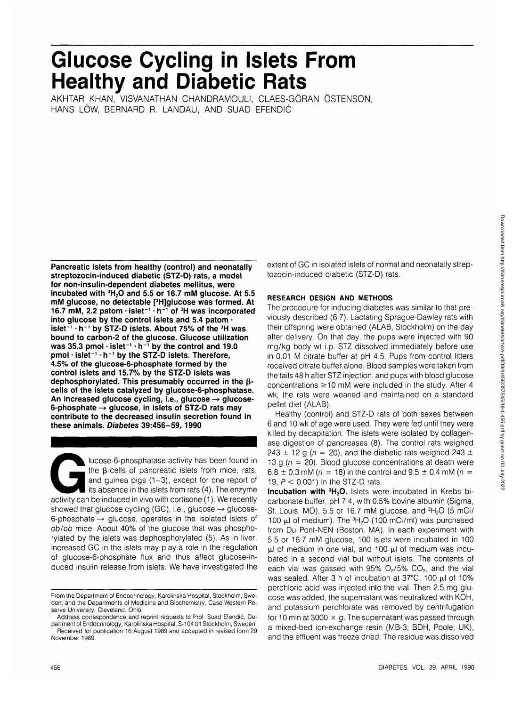# **Glucose Cycling in Islets From Healthy and Diabetic Rats**

AKHTAR KHAN, VISVANATHAN CHANDRAMOULI, CLAES-GORAN OSTENSON, HANS LÖW, BERNARD R. LANDAU, AND SUAD EFENDIĆ

**Pancreatic islets from healthy (control) and neonatally streptozocin-induced diabetic (STZ-D) rats, a model for non-insulin-dependent diabetes mellitus, were incubated with 3H2O and 5.5 or 16.7 mM glucose. At 5.5 mM glucose, no detectable [3 H]glucose was formed. At 16.7 mM, 2.2 patom • islet"1 • h <sup>1</sup> of 3H was incorporated into glucose by the control islets and 5.4 patom • islet"1 • h'<sup>1</sup> by STZ-D islets. About 75% of the 3H was bound to carbon-2 of the glucose. Glucose utilization was 35.3 pmol • islet"<sup>1</sup> • rr<sup>1</sup> by the control and 19.0 pmol • islet<sup>1</sup> • h <sup>1</sup> by the STZ-D islets. Therefore, 4.5% of the glucose-6-phosphate formed by the control islets and 15.7% by the STZ-D islets was** dephosphorylated. This presumably occurred in the β**cells of the islets catalyzed by glucose-6-phosphatase.** An increased glucose cycling, i.e., glucose  $\rightarrow$  glucose-**6-phosphate -> glucose, in islets of STZ-D rats may contribute to the decreased insulin secretion found in these animals. Diabetes 39:456-59, 1990**

lucose-6-phosphatase activity has been found in<br>the β-cells of pancreatic islets from mice, rats,<br>and guinea pigs  $(1-3)$ , except for one report of<br>its absence in the islets from rats  $(4)$ . The enzyme<br>activity can be in the  $\beta$ -cells of pancreatic islets from mice, rats, and guinea pigs (1-3), except for one report of its absence in the islets from rats (4). The enzyme showed that glucose cycling (GC), i.e., glucose  $\rightarrow$  glucose-6-phosphate  $\rightarrow$  glucose, operates in the isolated islets of ob/ob mice. About 40% of the glucose that was phosphorylated by the islets was dephosphorylated (5). As in liver, increased GC in the islets may play a role in the regulation of glucose-6-phosphate flux and thus affect glucose-induced insulin release from islets. We have investigated the

extent of GC in isolated islets of normal and neonatally streptozocin-induced diabetic (STZ-D) rats.

## **RESEARCH DESIGN AND METHODS**

The procedure for inducing diabetes was similar to that previously described (6,7). Lactating Sprague-Dawley rats with their offspring were obtained (ALAB, Stockholm) on the day after delivery. On that day, the pups were injected with 90 mg/kg body wt i.p. STZ dissolved immediately before use in 0.01 M citrate buffer at pH 4.5. Pups from control litters received citrate buffer alone. Blood samples were taken from the tails 48 h after STZ injection, and pups with blood glucose concentrations  $\geq$  10 mM were included in the study. After 4 wk, the rats were weaned and maintained on a standard pellet diet (ALAB).

Healthy (control) and STZ-D rats of both sexes between 6 and 10 wk of age were used. They were fed until they were killed by decapitation. The islets were isolated by collagenase digestion of pancreases (8). The control rats weighed 243  $\pm$  12 g ( $n = 20$ ), and the diabetic rats weighed 243  $\pm$ 13 g ( $n = 20$ ). Blood glucose concentrations at death were 6.8  $\pm$  0.3 mM ( $n = 18$ ) in the control and 9.5  $\pm$  0.4 mM ( $n =$ 19,  $P < 0.001$ ) in the STZ-D rats.

**Incubation with <sup>3</sup>H<sub>2</sub>O.** Islets were incubated in Krebs bicarbonate buffer, pH 7.4, with 0.5% bovine albumin (Sigma, St. Louis, MO), 5.5 or 16.7 mM glucose, and  ${}^{3}H_{2}O$  (5 mCi/ 100  $\mu$ I of medium). The  ${}^{3}H_{2}O$  (100 mCi/mI) was purchased from Du Pont-NEN (Boston, MA). In each experiment with 5.5 or 16.7 mM glucose, 100 islets were incubated in 100 ul of medium in one vial, and 100 ul of medium was incubated in a second vial but without islets. The contents of each vial was gassed with  $95\%$  O<sub>2</sub>/5% CO<sub>2</sub>, and the vial was sealed. After 3 h of incubation at 37°C, 100 µl of 10% perchloric acid was injected into the vial. Then 2.5 mg glucose was added, the supernatant was neutralized with KOH, and potassium perchlorate was removed by centrifugation for 10 min at 3000  $\times$  g. The supernatant was passed through a mixed-bed ion-exchange resin (MB-3; BDH, Poole, UK), and the effluent was freeze dried. The residue was dissolved

November 1989.

From the Department of Endocrinology, Karolinska Hospital, Stockholm, Sweden; and the Departments of Medicine and Biochemistry, Case Western Reserve University, Cleveland, Ohio.

Address correspondence and reprint requests to Prof. Suad Efendic, Department of Endocrinology, Karolinska Hospital, S-104 01 Stockholm, Sweden. Received for publication 16 August 1989 and accepted in revised form 29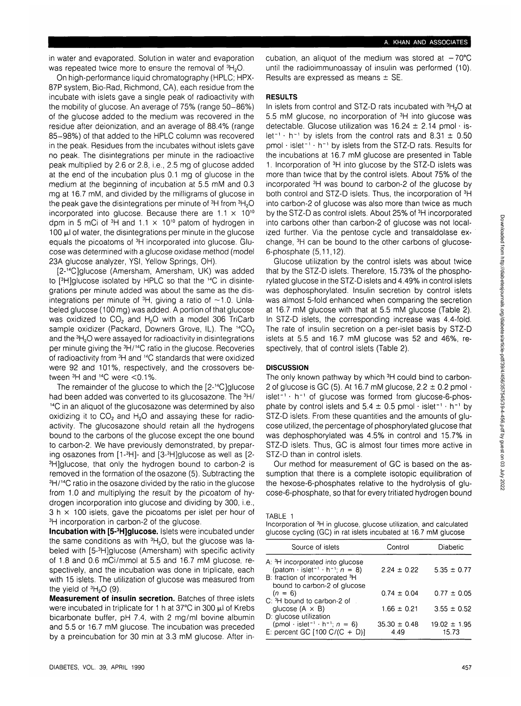in water and evaporated. Solution in water and evaporation was repeated twice more to ensure the removal of  ${}^{3}H_{2}O$ .

On high-performance liquid chromatography (HPLC; HPX-87P system, Bio-Rad, Richmond, CA), each residue from the incubate with islets gave a single peak of radioactivity with the mobility of glucose. An average of 75% (range 50-86%) of the glucose added to the medium was recovered in the residue after deionization, and an average of 88.4% (range 85-98%) of that added to the HPLC column was recovered in the peak. Residues from the incubates without islets gave no peak. The disintegrations per minute in the radioactive peak multiplied by 2.6 or 2.8, i.e., 2.5 mg of glucose added at the end of the incubation plus 0.1 mg of glucose in the medium at the beginning of incubation at 5.5 mM and 0.3 mg at 16.7 mM, and divided by the milligrams of glucose in the peak gave the disintegrations per minute of <sup>3</sup>H from <sup>3</sup>H<sub>2</sub>C incorporated into glucose. Because there are  $1.1 \times 10^{10}$ dpm in 5 mCi of  ${}^{3}\text{H}$  and 1.1  $\times$  10<sup>10</sup> patom of hydrogen in 100  $\mu$  of water, the disintegrations per minute in the glucose equals the picoatoms of <sup>3</sup>H incorporated into glucose. Glucose was determined with a glucose oxidase method (model 23A glucose analyzer, YSI, Yellow Springs, OH).

[2-14C]glucose (Amersham, Amersham, UK) was added to [<sup>3</sup>H]glucose isolated by HPLC so that the <sup>14</sup>C in disintegrations per minute added was about the same as the disintegrations per minute of  $3H$ , giving a ratio of  $\sim$ 1.0. Unlabeled glucose (100 mg) was added. A portion of that glucose was oxidized to  $CO<sub>2</sub>$  and  $H<sub>2</sub>O$  with a model 306 TriCarb sample oxidizer (Packard, Downers Grove, IL). The <sup>14</sup>CO<sub>2</sub> and the  ${}^{3}H_{2}O$  were assayed for radioactivity in disintegrations per minute giving the 3H/14C ratio in the glucose. Recoveries of radioactivity from 3H and 14C standards that were oxidized were 92 and 101%, respectively, and the crossovers between 3H and 14C were <0.1%.

The remainder of the glucose to which the [2-14C]glucose had been added was converted to its glucosazone. The  $3H/$ 14C in an aliquot of the glucosazone was determined by also oxidizing it to  $CO<sub>2</sub>$  and H<sub>2</sub>O and assaying these for radioactivity. The glucosazone should retain all the hydrogens bound to the carbons of the glucose except the one bound to carbon-2. We have previously demonstrated, by preparing osazones from [1-<sup>3</sup>H]- and [3-<sup>3</sup>H]glucose as well as [2-<sup>3</sup>H]glucose, that only the hydrogen bound to carbon-2 is removed in the formation of the osazone (5). Subtracting the <sup>3</sup>H/<sup>14</sup>C ratio in the osazone divided by the ratio in the glucose from 1.0 and multiplying the result by the picoatom of hydrogen incorporation into glucose and dividing by 300, i.e.,  $3 h \times 100$  islets, gave the picoatoms per islet per hour of <sup>3</sup>H incorporation in carbon-2 of the glucose.

**Incubation with [5-<sup>3</sup>H]glucose.** Islets were incubated under the same conditions as with  ${}^{3}H_{2}O$ , but the glucose was labeled with [5-<sup>3</sup> H]glucose (Amersham) with specific activity of 1.8 and 0.6 mCi/mmol at 5.5 and 16.7 mM glucose, respectively, and the incubation was done in triplicate, each with 15 islets. The utilization of glucose was measured from the yield of  ${}^{3}H_{2}O$  (9).

**Measurement of insulin secretion.** Batches of three islets were incubated in triplicate for 1 h at 37 $\degree$ C in 300  $\mu$ l of Krebs bicarbonate buffer, pH 7.4, with 2 mg/ml bovine albumin and 5.5 or 16.7 mM glucose. The incubation was preceded by a preincubation for 30 min at 3.3 mM glucose. After incubation, an aliquot of the medium was stored at  $-70^{\circ}$ C until the radioimmunoassay of insulin was performed (10). Results are expressed as means ± SE.

### **RESULTS**

In islets from control and STZ-D rats incubated with  ${}^{3}H_{2}O$  at 5.5 mM glucose, no incorporation of <sup>3</sup>H into glucose was detectable. Glucose utilization was  $16.24 \pm 2.14$  pmol · islet<sup>-1</sup>  $\cdot$  h<sup>-1</sup> by islets from the control rats and 8.31  $\pm$  0.50  $pmol + islet^{-1} + h^{-1}$  by islets from the STZ-D rats. Results for the incubations at 16.7 mM glucose are presented in Table 1. Incorporation of 3H into glucose by the STZ-D islets was more than twice that by the control islets. About 75% of the incorporated 3H was bound to carbon-2 of the glucose by both control and STZ-D islets. Thus, the incorporation of <sup>3</sup>H into carbon-2 of glucose was also more than twice as much by the STZ-D as control islets. About 25% of <sup>3</sup>H incorporated into carbons other than carbon-2 of glucose was not localized further. Via the pentose cycle and transaldolase exchange, <sup>3</sup>H can be bound to the other carbons of glucose-6-phosphate (5,11,12).

Glucose utilization by the control islets was about twice that by the STZ-D islets. Therefore, 15.73% of the phosphorylated glucose in the STZ-D islets and 4.49% in control islets was dephosphorylated. Insulin secretion by control islets was almost 5-fold enhanced when comparing the secretion at 16.7 mM glucose with that at 5.5 mM glucose (Table 2). In STZ-D islets, the corresponding increase was 4.4-fold. The rate of insulin secretion on a per-islet basis by STZ-D islets at 5.5 and 16.7 mM glucose was 52 and 46%, respectively, that of control islets (Table 2).

## **DISCUSSION**

The only known pathway by which 3H could bind to carbon-2 of glucose is GC (5). At 16.7 mM glucose,  $2.2 \pm 0.2$  pmol  $\cdot$ islet<sup>-1</sup> · h<sup>-1</sup> of glucose was formed from glucose-6-phosphate by control islets and  $5.4 \pm 0.5$  pmol  $\cdot$  islet<sup>-1</sup>  $\cdot$  h<sup>-1</sup> by STZ-D islets. From these quantities and the amounts of glucose utilized, the percentage of phosphorylated glucose that was dephosphorylated was 4.5% in control and 15.7% in STZ-D islets. Thus, GC is almost four times more active in STZ-D than in control islets.

Our method for measurement of GC is based on the assumption that there is a complete isotopic equilibration of the hexose-6-phosphates relative to the hydrolysis of glucose-6-phosphate, so that for every tritiated hydrogen bound

#### TABLE 1

Incorporation of <sup>3</sup>H in glucose, glucose utilization, and calculated glucose cycling (GC) in rat islets incubated at 16.7 mM glucose

| Source of islets                                                                                                                                                                                    | Control                  | Diabetic                  |
|-----------------------------------------------------------------------------------------------------------------------------------------------------------------------------------------------------|--------------------------|---------------------------|
| A: <sup>3</sup> H incorporated into glucose<br>(patom $\cdot$ islet <sup>-1</sup> $\cdot$ h <sup>-1</sup> ; $n = 8$ )<br>B: fraction of incorporated <sup>3</sup> H<br>bound to carbon-2 of glucose | $2.24 \pm 0.22$          | $5.35 \pm 0.77$           |
| $(n = 6)$                                                                                                                                                                                           | $0.74 \pm 0.04$          | $0.77 \pm 0.05$           |
| C: <sup>3</sup> H bound to carbon-2 of<br>glucose $(A \times B)$<br>D: glucose utilization                                                                                                          | $1.66 \pm 0.21$          | $3.55 \pm 0.52$           |
| (pmol $\cdot$ islet <sup>-1</sup> $\cdot$ h <sup>-1</sup> ; $n = 6$ )<br>E: percent GC $[100 C/(C + D)]$                                                                                            | $35.30 \pm 0.48$<br>4.49 | $19.02 \pm 1.95$<br>15.73 |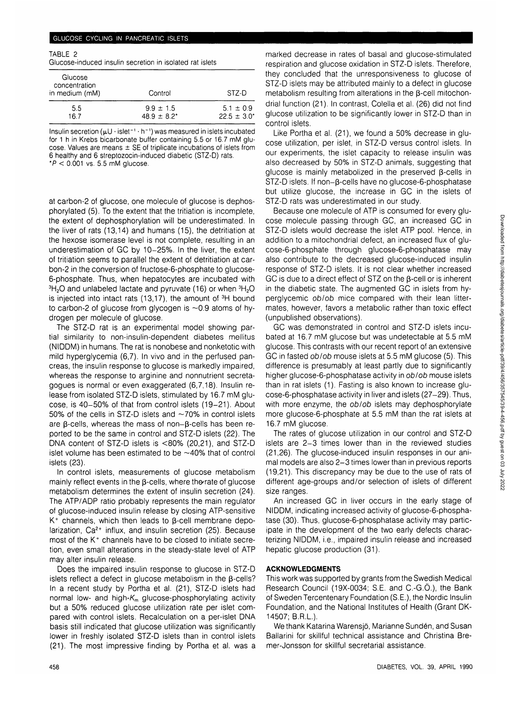#### GLUCOSE CYCLING IN PANCREATIC ISLETS

TABLE 2

Glucose-induced insulin secretion in isolated rat islets

| Glucose<br>concentration<br>in medium (mM) | Control          | STZ-D            |
|--------------------------------------------|------------------|------------------|
| 5.5                                        | $9.9 \pm 1.5$    | $5.1 \pm 0.9$    |
| 167                                        | $48.9 \pm 8.2^*$ | $22.5 \pm 3.0^*$ |

Insulin secretion ( $\mu$ U  $\cdot$  islet $^{-1}\cdot$  h $^{-1}$ ) was measured in islets incubated for 1 h in Krebs bicarbonate buffer containing 5.5 or 16.7 mM glucose. Values are means  $\pm$  SE of triplicate incubations of islets from 6 healthy and 6 streptozocin-induced diabetic (STZ-D) rats.

 $*P < 0.001$  vs. 5.5 mM glucose.

at carbon-2 of glucose, one molecule of glucose is dephosphorylated (5). To the extent that the tritiation is incomplete, the extent of dephosphorylation will be underestimated. In the liver of rats (13,14) and humans (15), the detritiation at the hexose isomerase level is not complete, resulting in an underestimation of GC by 10-25%. In the liver, the extent of tritiation seems to parallel the extent of detritiation at carbon-2 in the conversion of fructose-6-phosphate to glucose-6-phosphate. Thus, when hepatocytes are incubated with  ${}^{3}H_{2}O$  and unlabeled lactate and pyruvate (16) or when  ${}^{3}H_{2}O$ is injected into intact rats  $(13,17)$ , the amount of  ${}^{3}H$  bound to carbon-2 of glucose from glycogen is  $\sim$  0.9 atoms of hydrogen per molecule of glucose.

The STZ-D rat is an experimental model showing partial similarity to non-insulin-dependent diabetes mellitus (NIDDM) in humans. The rat is nonobese and nonketotic with mild hyperglycemia (6,7). In vivo and in the perfused pancreas, the insulin response to glucose is markedly impaired, whereas the response to arginine and nonnutrient secretagogues is normal or even exaggerated (6,7,18). Insulin release from isolated STZ-D islets, stimulated by 16.7 mM glucose, is 40-50% of that from control islets (19-21). About 50% of the cells in STZ-D islets and —70% in control islets are  $\beta$ -cells, whereas the mass of non- $\beta$ -cells has been reported to be the same in control and STZ-D islets (22). The DNA content of STZ-D islets is <80% (20,21), and STZ-D islet volume has been estimated to be  $\sim$ 40% that of control islets (23).

In control islets, measurements of glucose metabolism mainly reflect events in the  $\beta$ -cells, where the rate of glucose metabolism determines the extent of insulin secretion (24). The ATP/ADP ratio probably represents the main regulator of glucose-induced insulin release by closing ATP-sensitive  $K^+$  channels, which then leads to  $\beta$ -cell membrane depolarization, Ca<sup>2+</sup> influx, and insulin secretion (25). Because most of the K+ channels have to be closed to initiate secretion, even small alterations in the steady-state level of ATP may alter insulin release.

Does the impaired insulin response to glucose in STZ-D islets reflect a defect in glucose metabolism in the  $\beta$ -cells? In a recent study by Portha et al. (21), STZ-D islets had normal low- and high- $K_m$  glucose-phosphorylating activity but a 50% reduced glucose utilization rate per islet compared with control islets. Recalculation on a per-islet DNA basis still indicated that glucose utilization was significantly lower in freshly isolated STZ-D islets than in control islets (21). The most impressive finding by Portha et al. was a

marked decrease in rates of basal and glucose-stimulated respiration and glucose oxidation in STZ-D islets. Therefore, they concluded that the unresponsiveness to glucose of STZ-D islets may be attributed mainly to a defect in glucose metabolism resulting from alterations in the  $\beta$ -cell mitochondrial function (21). In contrast, Colella et al. (26) did not find glucose utilization to be significantly lower in STZ-D than in control islets.

Like Portha et al. (21), we found a 50% decrease in glucose utilization, per islet, in STZ-D versus control islets. In our experiments, the islet capacity to release insulin was also decreased by 50% in STZ-D animals, suggesting that glucose is mainly metabolized in the preserved B-cells in  $STZ-D$  islets. If non- $\beta$ -cells have no glucose-6-phosphatase but utilize glucose, the increase in GC in the islets of STZ-D rats was underestimated in our study.

Because one molecule of ATP is consumed for every glucose molecule passing through GC, an increased GC in STZ-D islets would decrease the islet ATP pool. Hence, in addition to a mitochondrial defect, an increased flux of glucose-6-phosphate through glucose-6-phosphatase may also contribute to the decreased glucose-induced insulin response of STZ-D islets. It is not clear whether increased GC is due to a direct effect of STZ on the  $\beta$ -cell or is inherent in the diabetic state. The augmented GC in islets from hyperglycemic ob/ob mice compared with their lean littermates, however, favors a metabolic rather than toxic effect (unpublished observations).

GC was demonstrated in control and STZ-D islets incubated at 16.7 mM glucose but was undetectable at 5.5 mM glucose. This contrasts with our recent report of an extensive GC in fasted ob/ob mouse islets at 5.5 mM glucose (5). This difference is presumably at least partly due to significantly higher glucose-6-phosphatase activity in ob/ob mouse islets than in rat islets (1). Fasting is also known to increase glucose-6-phosphatase activity in liver and islets (27-29). Thus, with more enzyme, the ob/ob islets may dephosphorylate more glucose-6-phosphate at 5.5 mM than the rat islets at 16.7 mM glucose.

The rates of glucose utilization in our control and STZ-D islets are 2-3 times lower than in the reviewed studies (21,26). The glucose-induced insulin responses in our animal models are also 2-3 times lower than in previous reports (19,21). This discrepancy may be due to the use of rats of different age-groups and/or selection of islets of different size ranges.

An increased GC in liver occurs in the early stage of NIDDM, indicating increased activity of glucose-6-phosphatase (30). Thus, glucose-6-phosphatase activity may participate in the development of the two early defects characterizing NIDDM, i.e., impaired insulin release and increased hepatic glucose production (31).

#### **ACKNOWLEDGMENTS**

This work was supported by grants from the Swedish Medical Research Council (19X-0034; S.E. and C.-G.O.), the Bank of Sweden Tercentenary Foundation (S.E.), the Nordic Insulin Foundation, and the National Institutes of Health (Grant DK-14507; B.R.L.).

We thank Katarina Warensjö, Marianne Sundén, and Susan Ballarini for skillful technical assistance and Christina Bremer-Jonsson for skillful secretarial assistance.